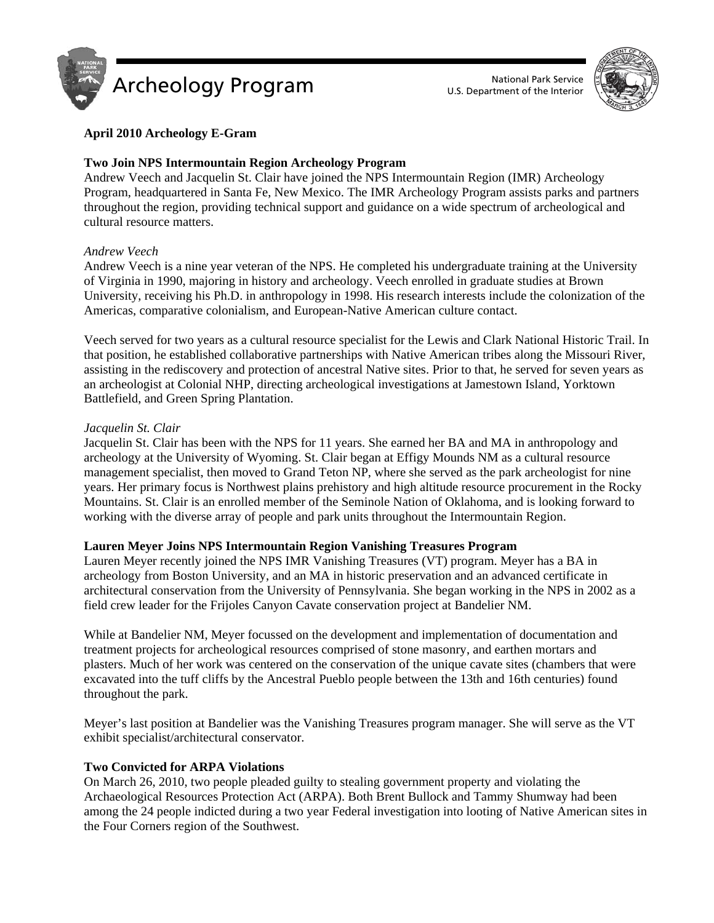



## **April 2010 Archeology E-Gram**

## **Two Join NPS Intermountain Region Archeology Program**

Andrew Veech and Jacquelin St. Clair have joined the NPS Intermountain Region (IMR) Archeology Program, headquartered in Santa Fe, New Mexico. The IMR Archeology Program assists parks and partners throughout the region, providing technical support and guidance on a wide spectrum of archeological and cultural resource matters.

## *Andrew Veech*

Andrew Veech is a nine year veteran of the NPS. He completed his undergraduate training at the University of Virginia in 1990, majoring in history and archeology. Veech enrolled in graduate studies at Brown University, receiving his Ph.D. in anthropology in 1998. His research interests include the colonization of the Americas, comparative colonialism, and European-Native American culture contact.

Veech served for two years as a cultural resource specialist for the Lewis and Clark National Historic Trail. In that position, he established collaborative partnerships with Native American tribes along the Missouri River, assisting in the rediscovery and protection of ancestral Native sites. Prior to that, he served for seven years as an archeologist at Colonial NHP, directing archeological investigations at Jamestown Island, Yorktown Battlefield, and Green Spring Plantation.

## *Jacquelin St. Clair*

Jacquelin St. Clair has been with the NPS for 11 years. She earned her BA and MA in anthropology and archeology at the University of Wyoming. St. Clair began at Effigy Mounds NM as a cultural resource management specialist, then moved to Grand Teton NP, where she served as the park archeologist for nine years. Her primary focus is Northwest plains prehistory and high altitude resource procurement in the Rocky Mountains. St. Clair is an enrolled member of the Seminole Nation of Oklahoma, and is looking forward to working with the diverse array of people and park units throughout the Intermountain Region.

## **Lauren Meyer Joins NPS Intermountain Region Vanishing Treasures Program**

Lauren Meyer recently joined the NPS IMR Vanishing Treasures (VT) program. Meyer has a BA in archeology from Boston University, and an MA in historic preservation and an advanced certificate in architectural conservation from the University of Pennsylvania. She began working in the NPS in 2002 as a field crew leader for the Frijoles Canyon Cavate conservation project at Bandelier NM.

While at Bandelier NM, Meyer focussed on the development and implementation of documentation and treatment projects for archeological resources comprised of stone masonry, and earthen mortars and plasters. Much of her work was centered on the conservation of the unique cavate sites (chambers that were excavated into the tuff cliffs by the Ancestral Pueblo people between the 13th and 16th centuries) found throughout the park.

Meyer's last position at Bandelier was the Vanishing Treasures program manager. She will serve as the VT exhibit specialist/architectural conservator.

## **Two Convicted for ARPA Violations**

On March 26, 2010, two people pleaded guilty to stealing government property and violating the Archaeological Resources Protection Act (ARPA). Both Brent Bullock and Tammy Shumway had been among the 24 people indicted during a two year Federal investigation into looting of Native American sites in the Four Corners region of the Southwest.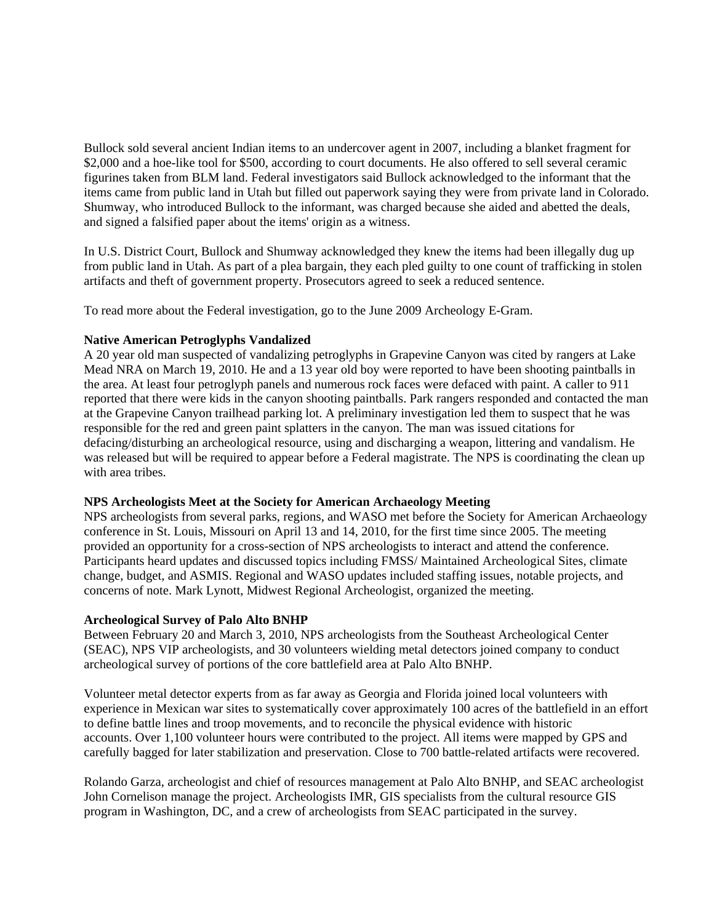Bullock sold several ancient Indian items to an undercover agent in 2007, including a blanket fragment for \$2,000 and a hoe-like tool for \$500, according to court documents. He also offered to sell several ceramic figurines taken from BLM land. Federal investigators said Bullock acknowledged to the informant that the items came from public land in Utah but filled out paperwork saying they were from private land in Colorado. Shumway, who introduced Bullock to the informant, was charged because she aided and abetted the deals, and signed a falsified paper about the items' origin as a witness.

In U.S. District Court, Bullock and Shumway acknowledged they knew the items had been illegally dug up from public land in Utah. As part of a plea bargain, they each pled guilty to one count of trafficking in stolen artifacts and theft of government property. Prosecutors agreed to seek a reduced sentence.

To read more about the Federal investigation, go to the June 2009 Archeology E-Gram.

## **Native American Petroglyphs Vandalized**

A 20 year old man suspected of vandalizing petroglyphs in Grapevine Canyon was cited by rangers at Lake Mead NRA on March 19, 2010. He and a 13 year old boy were reported to have been shooting paintballs in the area. At least four petroglyph panels and numerous rock faces were defaced with paint. A caller to 911 reported that there were kids in the canyon shooting paintballs. Park rangers responded and contacted the man at the Grapevine Canyon trailhead parking lot. A preliminary investigation led them to suspect that he was responsible for the red and green paint splatters in the canyon. The man was issued citations for defacing/disturbing an archeological resource, using and discharging a weapon, littering and vandalism. He was released but will be required to appear before a Federal magistrate. The NPS is coordinating the clean up with area tribes.

## **NPS Archeologists Meet at the Society for American Archaeology Meeting**

NPS archeologists from several parks, regions, and WASO met before the Society for American Archaeology conference in St. Louis, Missouri on April 13 and 14, 2010, for the first time since 2005. The meeting provided an opportunity for a cross-section of NPS archeologists to interact and attend the conference. Participants heard updates and discussed topics including FMSS/ Maintained Archeological Sites, climate change, budget, and ASMIS. Regional and WASO updates included staffing issues, notable projects, and concerns of note. Mark Lynott, Midwest Regional Archeologist, organized the meeting.

# **Archeological Survey of Palo Alto BNHP**

Between February 20 and March 3, 2010, NPS archeologists from the Southeast Archeological Center (SEAC), NPS VIP archeologists, and 30 volunteers wielding metal detectors joined company to conduct archeological survey of portions of the core battlefield area at Palo Alto BNHP.

Volunteer metal detector experts from as far away as Georgia and Florida joined local volunteers with experience in Mexican war sites to systematically cover approximately 100 acres of the battlefield in an effort to define battle lines and troop movements, and to reconcile the physical evidence with historic accounts. Over 1,100 volunteer hours were contributed to the project. All items were mapped by GPS and carefully bagged for later stabilization and preservation. Close to 700 battle-related artifacts were recovered.

Rolando Garza, archeologist and chief of resources management at Palo Alto BNHP, and SEAC archeologist John Cornelison manage the project. Archeologists IMR, GIS specialists from the cultural resource GIS program in Washington, DC, and a crew of archeologists from SEAC participated in the survey.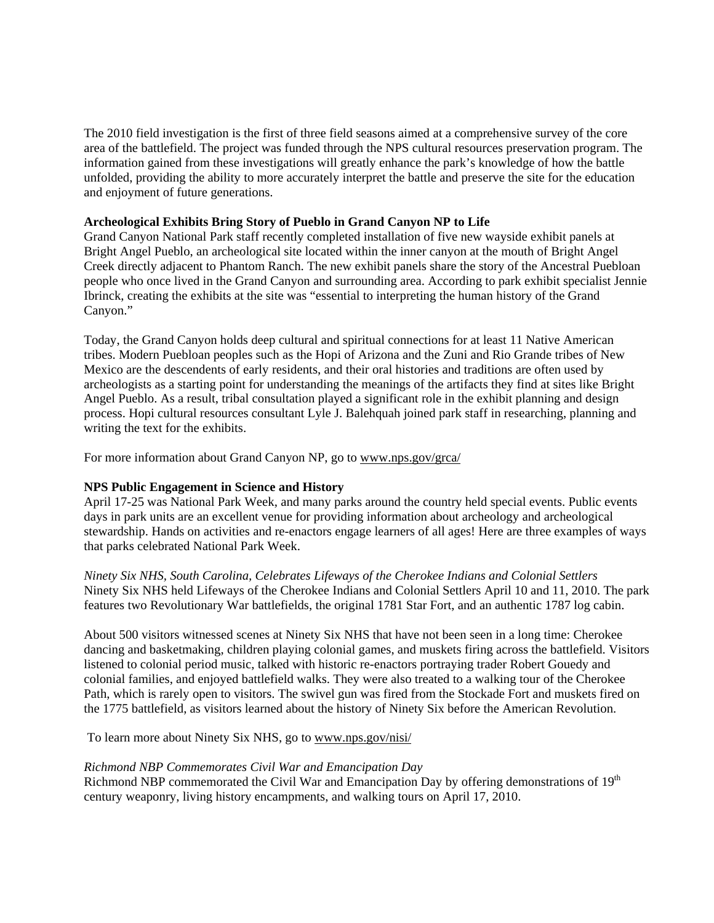The 2010 field investigation is the first of three field seasons aimed at a comprehensive survey of the core area of the battlefield. The project was funded through the NPS cultural resources preservation program. The information gained from these investigations will greatly enhance the park's knowledge of how the battle unfolded, providing the ability to more accurately interpret the battle and preserve the site for the education and enjoyment of future generations.

#### **Archeological Exhibits Bring Story of Pueblo in Grand Canyon NP to Life**

Grand Canyon National Park staff recently completed installation of five new wayside exhibit panels at Bright Angel Pueblo, an archeological site located within the inner canyon at the mouth of Bright Angel Creek directly adjacent to Phantom Ranch. The new exhibit panels share the story of the Ancestral Puebloan people who once lived in the Grand Canyon and surrounding area. According to park exhibit specialist Jennie Ibrinck, creating the exhibits at the site was "essential to interpreting the human history of the Grand Canyon."

Today, the Grand Canyon holds deep cultural and spiritual connections for at least 11 Native American tribes. Modern Puebloan peoples such as the Hopi of Arizona and the Zuni and Rio Grande tribes of New Mexico are the descendents of early residents, and their oral histories and traditions are often used by archeologists as a starting point for understanding the meanings of the artifacts they find at sites like Bright Angel Pueblo. As a result, tribal consultation played a significant role in the exhibit planning and design process. Hopi cultural resources consultant Lyle J. Balehquah joined park staff in researching, planning and writing the text for the exhibits.

For more information about Grand Canyon NP, go to www.nps.gov/grca/

## **NPS Public Engagement in Science and History**

April 17-25 was National Park Week, and many parks around the country held special events. Public events days in park units are an excellent venue for providing information about archeology and archeological stewardship. Hands on activities and re-enactors engage learners of all ages! Here are three examples of ways that parks celebrated National Park Week.

*Ninety Six NHS, South Carolina, Celebrates Lifeways of the Cherokee Indians and Colonial Settlers*  Ninety Six NHS held Lifeways of the Cherokee Indians and Colonial Settlers April 10 and 11, 2010. The park features two Revolutionary War battlefields, the original 1781 Star Fort, and an authentic 1787 log cabin.

About 500 visitors witnessed scenes at Ninety Six NHS that have not been seen in a long time: Cherokee dancing and basketmaking, children playing colonial games, and muskets firing across the battlefield. Visitors listened to colonial period music, talked with historic re-enactors portraying trader Robert Gouedy and colonial families, and enjoyed battlefield walks. They were also treated to a walking tour of the Cherokee Path, which is rarely open to visitors. The swivel gun was fired from the Stockade Fort and muskets fired on the 1775 battlefield, as visitors learned about the history of Ninety Six before the American Revolution.

To learn more about Ninety Six NHS, go to www.nps.gov/nisi/

#### *Richmond NBP Commemorates Civil War and Emancipation Day*

Richmond NBP commemorated the Civil War and Emancipation Day by offering demonstrations of 19<sup>th</sup> century weaponry, living history encampments, and walking tours on April 17, 2010.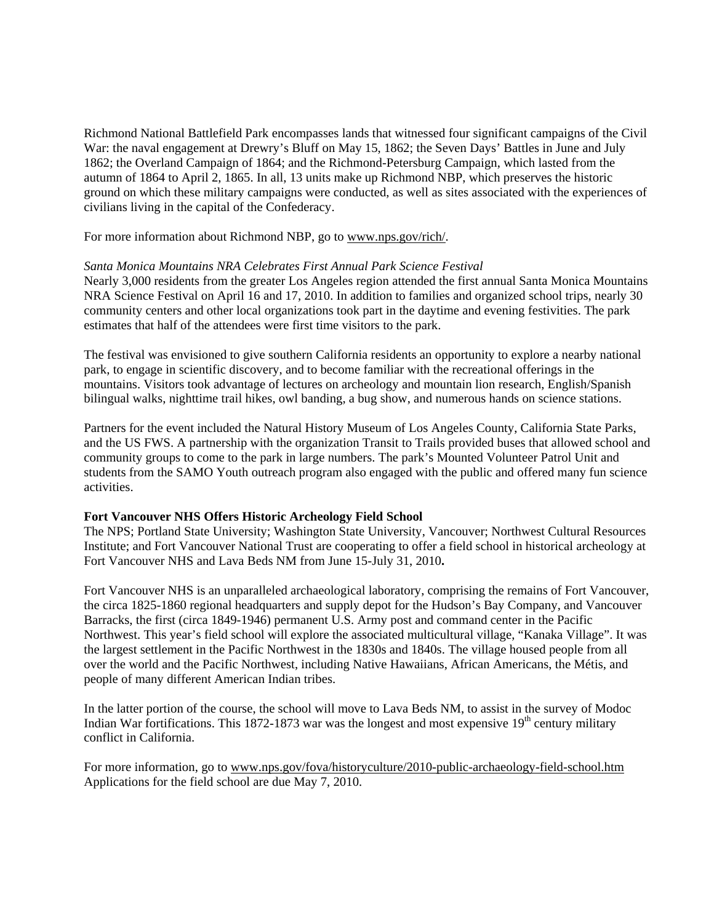Richmond National Battlefield Park encompasses lands that witnessed four significant campaigns of the Civil War: the naval engagement at Drewry's Bluff on May 15, 1862; the Seven Days' Battles in June and July 1862; the Overland Campaign of 1864; and the Richmond-Petersburg Campaign, which lasted from the autumn of 1864 to April 2, 1865. In all, 13 units make up Richmond NBP, which preserves the historic ground on which these military campaigns were conducted, as well as sites associated with the experiences of civilians living in the capital of the Confederacy.

For more information about Richmond NBP, go to www.nps.gov/rich/.

#### *Santa Monica Mountains NRA Celebrates First Annual Park Science Festival*

Nearly 3,000 residents from the greater Los Angeles region attended the first annual Santa Monica Mountains NRA Science Festival on April 16 and 17, 2010. In addition to families and organized school trips, nearly 30 community centers and other local organizations took part in the daytime and evening festivities. The park estimates that half of the attendees were first time visitors to the park.

The festival was envisioned to give southern California residents an opportunity to explore a nearby national park, to engage in scientific discovery, and to become familiar with the recreational offerings in the mountains. Visitors took advantage of lectures on archeology and mountain lion research, English/Spanish bilingual walks, nighttime trail hikes, owl banding, a bug show, and numerous hands on science stations.

Partners for the event included the Natural History Museum of Los Angeles County, California State Parks, and the US FWS. A partnership with the organization Transit to Trails provided buses that allowed school and community groups to come to the park in large numbers. The park's Mounted Volunteer Patrol Unit and students from the SAMO Youth outreach program also engaged with the public and offered many fun science activities.

## **Fort Vancouver NHS Offers Historic Archeology Field School**

The NPS; Portland State University; Washington State University, Vancouver; Northwest Cultural Resources Institute; and Fort Vancouver National Trust are cooperating to offer a field school in historical archeology at Fort Vancouver NHS and Lava Beds NM from June 15-July 31, 2010**.** 

Fort Vancouver NHS is an unparalleled archaeological laboratory, comprising the remains of Fort Vancouver, the circa 1825-1860 regional headquarters and supply depot for the Hudson's Bay Company, and Vancouver Barracks, the first (circa 1849-1946) permanent U.S. Army post and command center in the Pacific Northwest. This year's field school will explore the associated multicultural village, "Kanaka Village". It was the largest settlement in the Pacific Northwest in the 1830s and 1840s. The village housed people from all over the world and the Pacific Northwest, including Native Hawaiians, African Americans, the Métis, and people of many different American Indian tribes.

In the latter portion of the course, the school will move to Lava Beds NM, to assist in the survey of Modoc Indian War fortifications. This 1872-1873 war was the longest and most expensive  $19<sup>th</sup>$  century military conflict in California.

For more information, go to www.nps.gov/fova/historyculture/2010-public-archaeology-field-school.htm Applications for the field school are due May 7, 2010.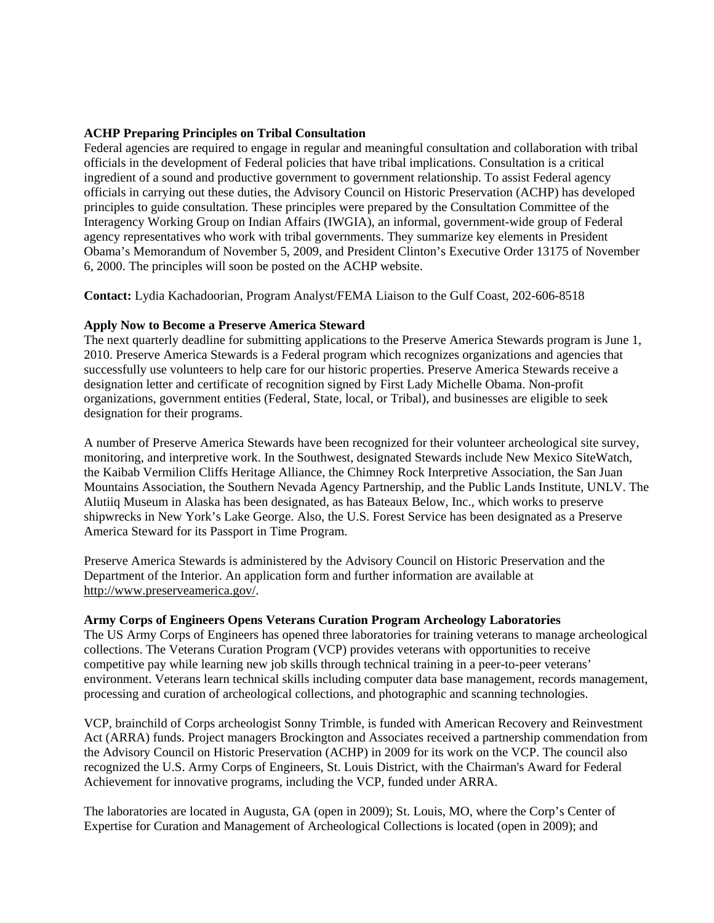#### **ACHP Preparing Principles on Tribal Consultation**

Federal agencies are required to engage in regular and meaningful consultation and collaboration with tribal officials in the development of Federal policies that have tribal implications. Consultation is a critical ingredient of a sound and productive government to government relationship. To assist Federal agency officials in carrying out these duties, the Advisory Council on Historic Preservation (ACHP) has developed principles to guide consultation. These principles were prepared by the Consultation Committee of the Interagency Working Group on Indian Affairs (IWGIA), an informal, government-wide group of Federal agency representatives who work with tribal governments. They summarize key elements in President Obama's Memorandum of November 5, 2009, and President Clinton's Executive Order 13175 of November 6, 2000. The principles will soon be posted on the ACHP website.

**Contact:** Lydia Kachadoorian, Program Analyst/FEMA Liaison to the Gulf Coast, 202-606-8518

#### **Apply Now to Become a Preserve America Steward**

The next quarterly deadline for submitting applications to the Preserve America Stewards program is June 1, 2010. Preserve America Stewards is a Federal program which recognizes organizations and agencies that successfully use volunteers to help care for our historic properties. Preserve America Stewards receive a designation letter and certificate of recognition signed by First Lady Michelle Obama. Non-profit organizations, government entities (Federal, State, local, or Tribal), and businesses are eligible to seek designation for their programs.

A number of Preserve America Stewards have been recognized for their volunteer archeological site survey, monitoring, and interpretive work. In the Southwest, designated Stewards include New Mexico SiteWatch, the Kaibab Vermilion Cliffs Heritage Alliance, the Chimney Rock Interpretive Association, the San Juan Mountains Association, the Southern Nevada Agency Partnership, and the Public Lands Institute, UNLV. The Alutiiq Museum in Alaska has been designated, as has Bateaux Below, Inc., which works to preserve shipwrecks in New York's Lake George. Also, the U.S. Forest Service has been designated as a Preserve America Steward for its Passport in Time Program.

Preserve America Stewards is administered by the Advisory Council on Historic Preservation and the Department of the Interior. An application form and further information are available at http://www.preserveamerica.gov/.

#### **Army Corps of Engineers Opens Veterans Curation Program Archeology Laboratories**

The US Army Corps of Engineers has opened three laboratories for training veterans to manage archeological collections. The Veterans Curation Program (VCP) provides veterans with opportunities to receive competitive pay while learning new job skills through technical training in a peer-to-peer veterans' environment. Veterans learn technical skills including computer data base management, records management, processing and curation of archeological collections, and photographic and scanning technologies.

VCP, brainchild of Corps archeologist Sonny Trimble, is funded with American Recovery and Reinvestment Act (ARRA) funds. Project managers Brockington and Associates received a partnership commendation from the Advisory Council on Historic Preservation (ACHP) in 2009 for its work on the VCP. The council also recognized the U.S. Army Corps of Engineers, St. Louis District, with the Chairman's Award for Federal Achievement for innovative programs, including the VCP, funded under ARRA.

The laboratories are located in Augusta, GA (open in 2009); St. Louis, MO, where the Corp's Center of Expertise for Curation and Management of Archeological Collections is located (open in 2009); and